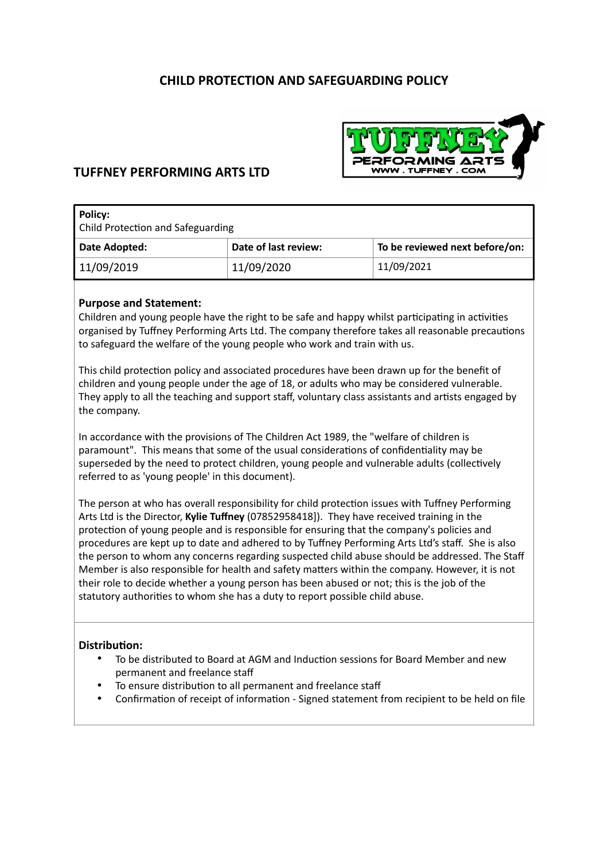# **CHILD PROTECTION AND SAFEGUARDING POLICY**



## **TUFFNEY PERFORMING ARTS LTD**

| Policy:<br><b>Child Protection and Safeguarding</b> |                      |                                |  |
|-----------------------------------------------------|----------------------|--------------------------------|--|
| Date Adopted:                                       | Date of last review: | To be reviewed next before/on: |  |
| 11/09/2019                                          | 11/09/2020           | 11/09/2021                     |  |

### **Purpose and Statement:**

Children and young people have the right to be safe and happy whilst participating in activities organised by Tuffney Performing Arts Ltd. The company therefore takes all reasonable precautions to safeguard the welfare of the young people who work and train with us.

This child protection policy and associated procedures have been drawn up for the benefit of children and young people under the age of 18, or adults who may be considered vulnerable. They apply to all the teaching and support staff, voluntary class assistants and artists engaged by the company.

In accordance with the provisions of The Children Act 1989, the "welfare of children is paramount". This means that some of the usual considerations of confidentiality may be superseded by the need to protect children, young people and vulnerable adults (collectively referred to as 'young people' in this document).

The person at who has overall responsibility for child protection issues with Tuffney Performing Arts Ltd is the Director, **Kylie Tuffney** (07852958418]). They have received training in the protection of young people and is responsible for ensuring that the company's policies and procedures are kept up to date and adhered to by Tuffney Performing Arts Ltd's staff. She is also the person to whom any concerns regarding suspected child abuse should be addressed. The Staff Member is also responsible for health and safety matters within the company. However, it is not their role to decide whether a young person has been abused or not; this is the job of the statutory authorities to whom she has a duty to report possible child abuse.

#### **Distribution:**

- To be distributed to Board at AGM and Induction sessions for Board Member and new permanent and freelance staff
- To ensure distribution to all permanent and freelance staff
- Confirmation of receipt of information Signed statement from recipient to be held on file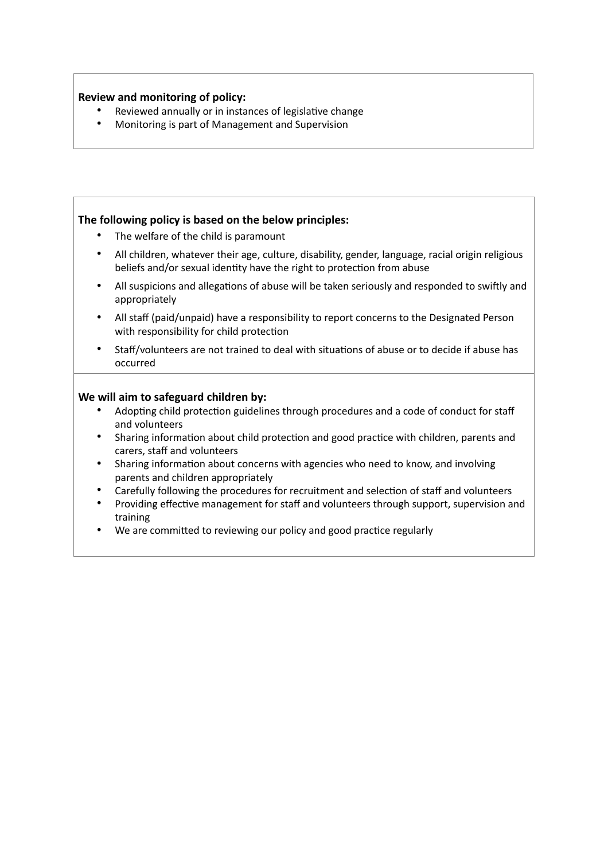## **Review and monitoring of policy:**

- Reviewed annually or in instances of legislative change
- Monitoring is part of Management and Supervision

### **The following policy is based on the below principles:**

- The welfare of the child is paramount
- All children, whatever their age, culture, disability, gender, language, racial origin religious beliefs and/or sexual identity have the right to protection from abuse
- All suspicions and allegations of abuse will be taken seriously and responded to swiftly and appropriately
- All staff (paid/unpaid) have a responsibility to report concerns to the Designated Person with responsibility for child protection
- Staff/volunteers are not trained to deal with situations of abuse or to decide if abuse has occurred

### **We will aim to safeguard children by:**

- Adopting child protection guidelines through procedures and a code of conduct for staff and volunteers
- Sharing information about child protection and good practice with children, parents and carers, staff and volunteers
- Sharing information about concerns with agencies who need to know, and involving parents and children appropriately
- Carefully following the procedures for recruitment and selection of staff and volunteers
- Providing effective management for staff and volunteers through support, supervision and training
- We are committed to reviewing our policy and good practice regularly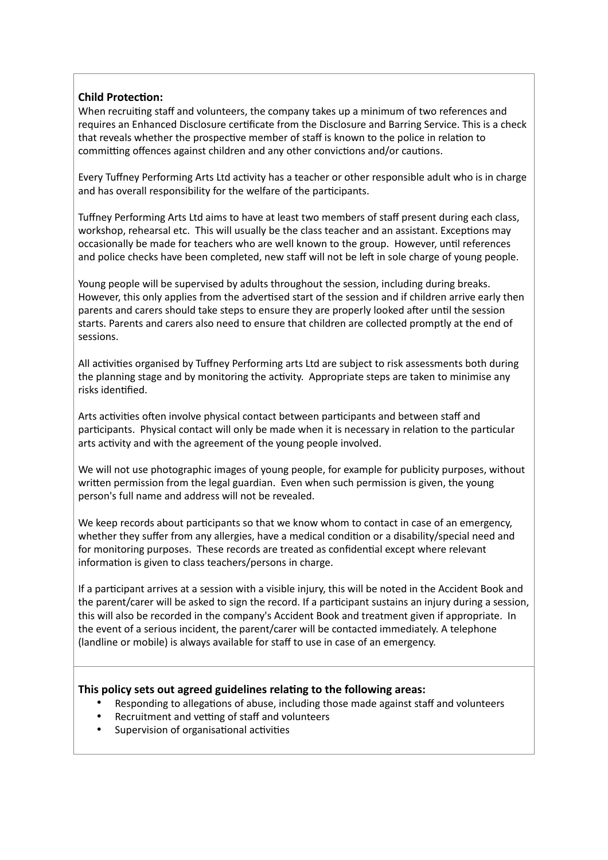## **Child Protection:**

When recruiting staff and volunteers, the company takes up a minimum of two references and requires an Enhanced Disclosure certificate from the Disclosure and Barring Service. This is a check that reveals whether the prospective member of staff is known to the police in relation to committing offences against children and any other convictions and/or cautions.

Every Tuffney Performing Arts Ltd activity has a teacher or other responsible adult who is in charge and has overall responsibility for the welfare of the participants.

Tuffney Performing Arts Ltd aims to have at least two members of staff present during each class, workshop, rehearsal etc. This will usually be the class teacher and an assistant. Exceptions may occasionally be made for teachers who are well known to the group. However, until references and police checks have been completed, new staff will not be left in sole charge of young people.

Young people will be supervised by adults throughout the session, including during breaks. However, this only applies from the advertised start of the session and if children arrive early then parents and carers should take steps to ensure they are properly looked after until the session starts. Parents and carers also need to ensure that children are collected promptly at the end of sessions.

All activities organised by Tuffney Performing arts Ltd are subject to risk assessments both during the planning stage and by monitoring the activity. Appropriate steps are taken to minimise any risks identified.

Arts activities often involve physical contact between participants and between staff and participants. Physical contact will only be made when it is necessary in relation to the particular arts activity and with the agreement of the young people involved.

We will not use photographic images of young people, for example for publicity purposes, without written permission from the legal guardian. Even when such permission is given, the young person's full name and address will not be revealed.

We keep records about participants so that we know whom to contact in case of an emergency, whether they suffer from any allergies, have a medical condition or a disability/special need and for monitoring purposes. These records are treated as confidential except where relevant information is given to class teachers/persons in charge.

If a participant arrives at a session with a visible injury, this will be noted in the Accident Book and the parent/carer will be asked to sign the record. If a participant sustains an injury during a session, this will also be recorded in the company's Accident Book and treatment given if appropriate. In the event of a serious incident, the parent/carer will be contacted immediately. A telephone (landline or mobile) is always available for staff to use in case of an emergency.

#### **This policy sets out agreed guidelines relating to the following areas:**

- Responding to allegations of abuse, including those made against staff and volunteers
- Recruitment and vetting of staff and volunteers
- Supervision of organisational activities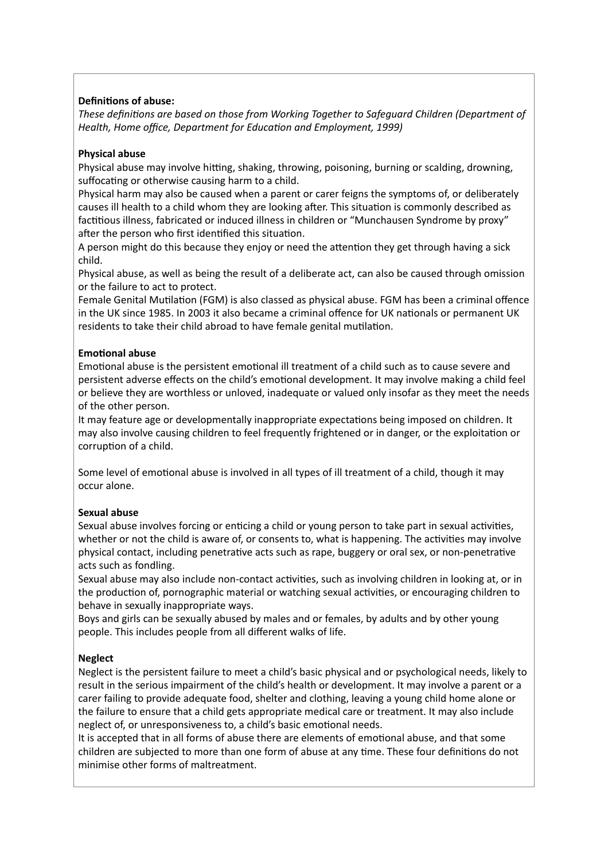## **Definitions of abuse:**

*These defini\*ons are based on those from Working Together to Safeguard Children (Department of Health, Home office, Department for Education and Employment, 1999)* 

### **Physical abuse**

Physical abuse may involve hitting, shaking, throwing, poisoning, burning or scalding, drowning, suffocating or otherwise causing harm to a child.

Physical harm may also be caused when a parent or carer feigns the symptoms of, or deliberately causes ill health to a child whom they are looking after. This situation is commonly described as factitious illness, fabricated or induced illness in children or "Munchausen Syndrome by proxy" after the person who first identified this situation.

A person might do this because they enjoy or need the attention they get through having a sick child.

Physical abuse, as well as being the result of a deliberate act, can also be caused through omission or the failure to act to protect.

Female Genital Mutilation (FGM) is also classed as physical abuse. FGM has been a criminal offence in the UK since 1985. In 2003 it also became a criminal offence for UK nationals or permanent UK residents to take their child abroad to have female genital mutilation.

### **Emotional abuse**

Emotional abuse is the persistent emotional ill treatment of a child such as to cause severe and persistent adverse effects on the child's emotional development. It may involve making a child feel or believe they are worthless or unloved, inadequate or valued only insofar as they meet the needs of the other person.

It may feature age or developmentally inappropriate expectations being imposed on children. It may also involve causing children to feel frequently frightened or in danger, or the exploitation or corruption of a child.

Some level of emotional abuse is involved in all types of ill treatment of a child, though it may occur alone.

## **Sexual abuse**

Sexual abuse involves forcing or enticing a child or young person to take part in sexual activities, whether or not the child is aware of, or consents to, what is happening. The activities may involve physical contact, including penetrative acts such as rape, buggery or oral sex, or non-penetrative acts such as fondling.

Sexual abuse may also include non-contact activities, such as involving children in looking at, or in the production of, pornographic material or watching sexual activities, or encouraging children to behave in sexually inappropriate ways.

Boys and girls can be sexually abused by males and or females, by adults and by other young people. This includes people from all different walks of life.

## **Neglect**

**Note** 

Neglect is the persistent failure to meet a child's basic physical and or psychological needs, likely to result in the serious impairment of the child's health or development. It may involve a parent or a carer failing to provide adequate food, shelter and clothing, leaving a young child home alone or the failure to ensure that a child gets appropriate medical care or treatment. It may also include neglect of, or unresponsiveness to, a child's basic emotional needs.

It is accepted that in all forms of abuse there are elements of emotional abuse, and that some children are subjected to more than one form of abuse at any time. These four definitions do not minimise other forms of maltreatment.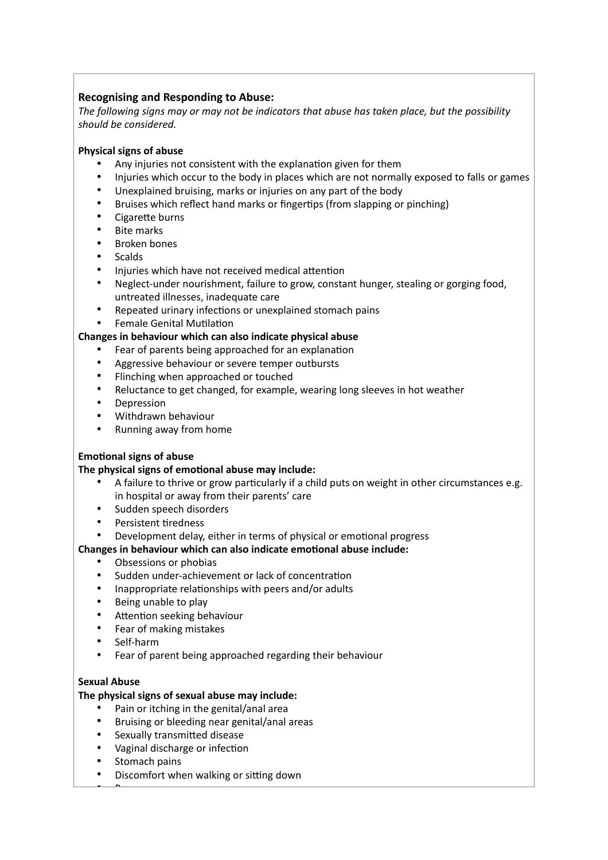## **Recognising and Responding to Abuse:**

*The following signs may or may not be indicators that abuse has taken place, but the possibility should be considered.* 

### **Physical signs of abuse**

- Any injuries not consistent with the explanation given for them
- Injuries which occur to the body in places which are not normally exposed to falls or games
- Unexplained bruising, marks or injuries on any part of the body
- Bruises which reflect hand marks or fingertips (from slapping or pinching)
- Cigarette burns
- Bite marks
- Broken bones
- Scalds
- Injuries which have not received medical attention
- Neglect-under nourishment, failure to grow, constant hunger, stealing or gorging food, untreated illnesses, inadequate care
- Repeated urinary infections or unexplained stomach pains
- **Female Genital Mutilation**

### **Changes in behaviour which can also indicate physical abuse**

- Fear of parents being approached for an explanation
- Aggressive behaviour or severe temper outbursts
- Flinching when approached or touched
- Reluctance to get changed, for example, wearing long sleeves in hot weather
- **Depression**
- Withdrawn behaviour
- Running away from home

#### **Emotional signs of abuse**

#### The physical signs of emotional abuse may include:

- A failure to thrive or grow particularly if a child puts on weight in other circumstances e.g. in hospital or away from their parents' care
- Sudden speech disorders
- Persistent tiredness
- Development delay, either in terms of physical or emotional progress

## **Changes in behaviour which can also indicate emotional abuse include:**

- Obsessions or phobias
- Sudden under-achievement or lack of concentration
- Inappropriate relationships with peers and/or adults
- Being unable to play
- Attention seeking behaviour
- Fear of making mistakes
- Self-harm
- Fear of parent being approached regarding their behaviour

#### **Sexual Abuse**

#### **The physical signs of sexual abuse may include:**

- Pain or itching in the genital/anal area
- Bruising or bleeding near genital/anal areas
- Sexually transmitted disease
- Vaginal discharge or infection
- Stomach pains

 $\overline{\phantom{a}}$ 

Discomfort when walking or sitting down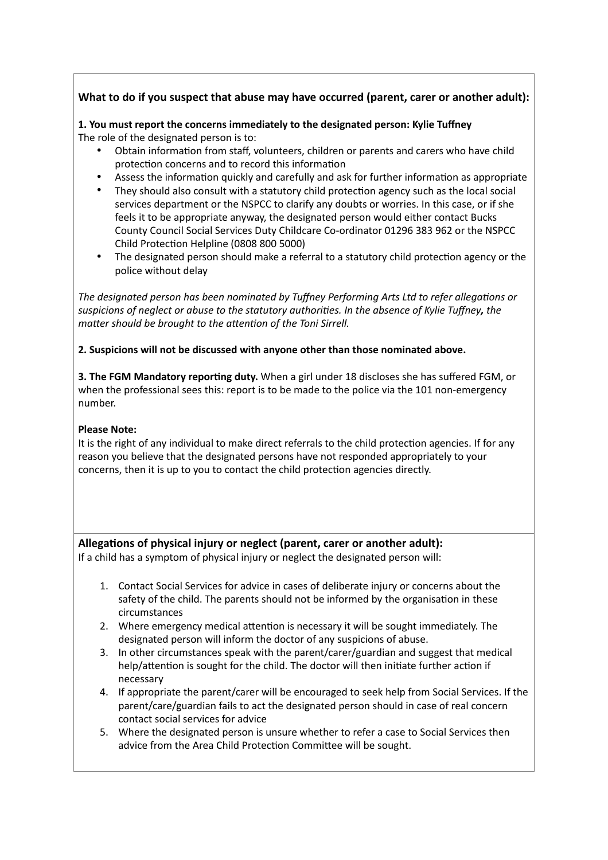## **What to do if you suspect that abuse may have occurred (parent, carer or another adult):**

**1. You must report the concerns immediately to the designated person: Kylie Tuffney** The role of the designated person is to:

- Obtain information from staff, volunteers, children or parents and carers who have child protection concerns and to record this information
- Assess the information quickly and carefully and ask for further information as appropriate
- They should also consult with a statutory child protection agency such as the local social services department or the NSPCC to clarify any doubts or worries. In this case, or if she feels it to be appropriate anyway, the designated person would either contact Bucks County Council Social Services Duty Childcare Co-ordinator 01296 383 962 or the NSPCC Child Protection Helpline (0808 800 5000)
- The designated person should make a referral to a statutory child protection agency or the police without delay

The designated person has been nominated by Tuffney Performing Arts Ltd to refer allegations or *suspicions of neglect or abuse to the statutory authori\*es. In the absence of Kylie Tuffney, the matter should be brought to the attention of the Toni Sirrell.* 

#### **2. Suspicions will not be discussed with anyone other than those nominated above.**

**3. The FGM Mandatory reporting duty.** When a girl under 18 discloses she has suffered FGM, or when the professional sees this: report is to be made to the police via the 101 non-emergency number.

#### **Please Note:**

It is the right of any individual to make direct referrals to the child protection agencies. If for any reason you believe that the designated persons have not responded appropriately to your concerns, then it is up to you to contact the child protection agencies directly.

#### Allegations of physical injury or neglect (parent, carer or another adult):

If a child has a symptom of physical injury or neglect the designated person will:

- 1. Contact Social Services for advice in cases of deliberate injury or concerns about the safety of the child. The parents should not be informed by the organisation in these circumstances
- 2. Where emergency medical attention is necessary it will be sought immediately. The designated person will inform the doctor of any suspicions of abuse.
- 3. In other circumstances speak with the parent/carer/guardian and suggest that medical help/attention is sought for the child. The doctor will then initiate further action if necessary
- 4. If appropriate the parent/carer will be encouraged to seek help from Social Services. If the parent/care/guardian fails to act the designated person should in case of real concern contact social services for advice
- 5. Where the designated person is unsure whether to refer a case to Social Services then advice from the Area Child Protection Committee will be sought.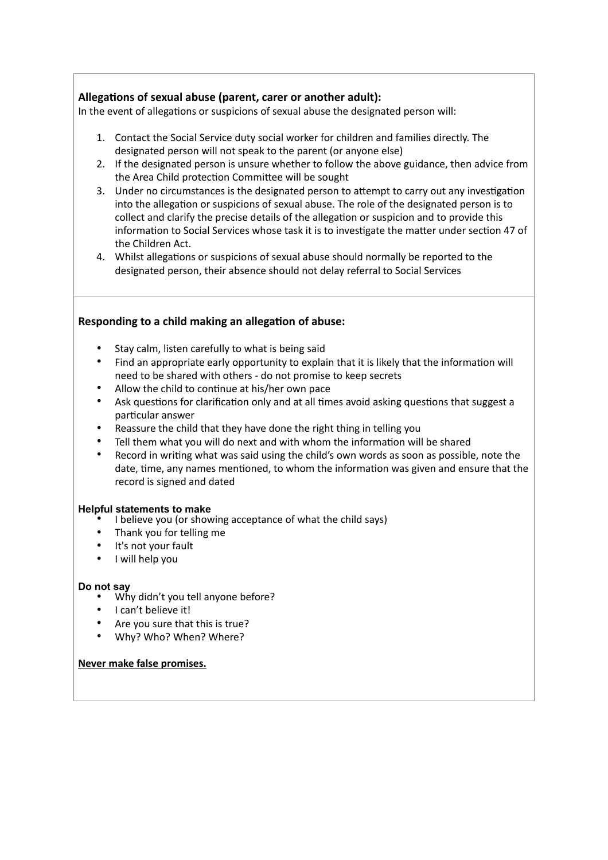## Allegations of sexual abuse (parent, carer or another adult):

In the event of allegations or suspicions of sexual abuse the designated person will:

- 1. Contact the Social Service duty social worker for children and families directly. The designated person will not speak to the parent (or anyone else)
- 2. If the designated person is unsure whether to follow the above guidance, then advice from the Area Child protection Committee will be sought
- 3. Under no circumstances is the designated person to attempt to carry out any investigation into the allegation or suspicions of sexual abuse. The role of the designated person is to collect and clarify the precise details of the allegation or suspicion and to provide this information to Social Services whose task it is to investigate the matter under section 47 of the Children Act.
- 4. Whilst allegations or suspicions of sexual abuse should normally be reported to the designated person, their absence should not delay referral to Social Services

## **Responding to a child making an allegation of abuse:**

- Stay calm, listen carefully to what is being said
- Find an appropriate early opportunity to explain that it is likely that the information will need to be shared with others - do not promise to keep secrets
- Allow the child to continue at his/her own pace
- Ask questions for clarification only and at all times avoid asking questions that suggest a particular answer
- Reassure the child that they have done the right thing in telling you
- Tell them what you will do next and with whom the information will be shared
- Record in writing what was said using the child's own words as soon as possible, note the date, time, any names mentioned, to whom the information was given and ensure that the record is signed and dated

#### **Helpful statements to make**

- I believe you (or showing acceptance of what the child says)
- Thank you for telling me
- It's not your fault
- I will help you

#### **Do not say**

- Why didn't you tell anyone before?
- I can't believe it!
- Are you sure that this is true?
- Why? Who? When? Where?

#### **Never make false promises.**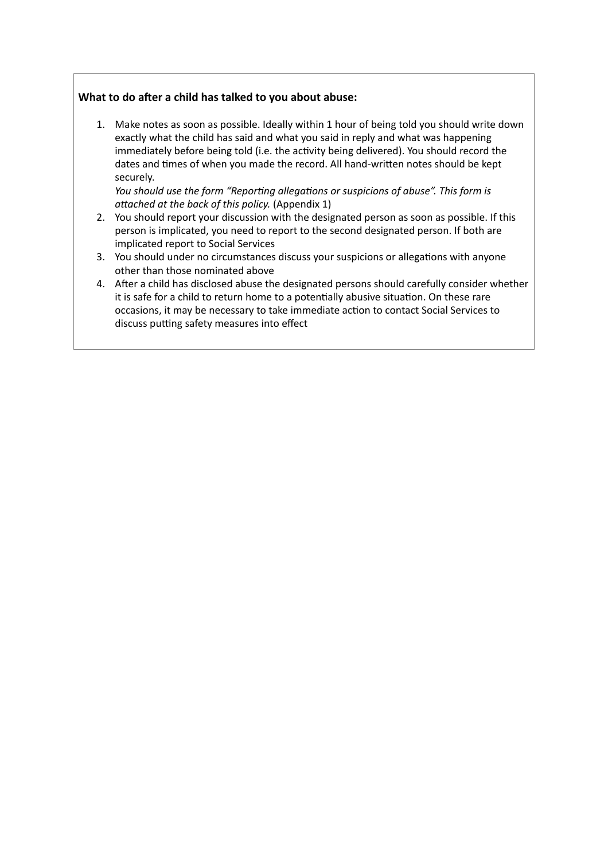## What to do after a child has talked to you about abuse:

1. Make notes as soon as possible. Ideally within 1 hour of being told you should write down exactly what the child has said and what you said in reply and what was happening immediately before being told (i.e. the activity being delivered). You should record the dates and times of when you made the record. All hand-written notes should be kept securely.

*You should use the form "Reporting allegations or suspicions of abuse". This form is attached at the back of this policy.* (Appendix 1)

- 2. You should report your discussion with the designated person as soon as possible. If this person is implicated, you need to report to the second designated person. If both are implicated report to Social Services
- 3. You should under no circumstances discuss your suspicions or allegations with anyone other than those nominated above
- 4. After a child has disclosed abuse the designated persons should carefully consider whether it is safe for a child to return home to a potentially abusive situation. On these rare occasions, it may be necessary to take immediate action to contact Social Services to discuss putting safety measures into effect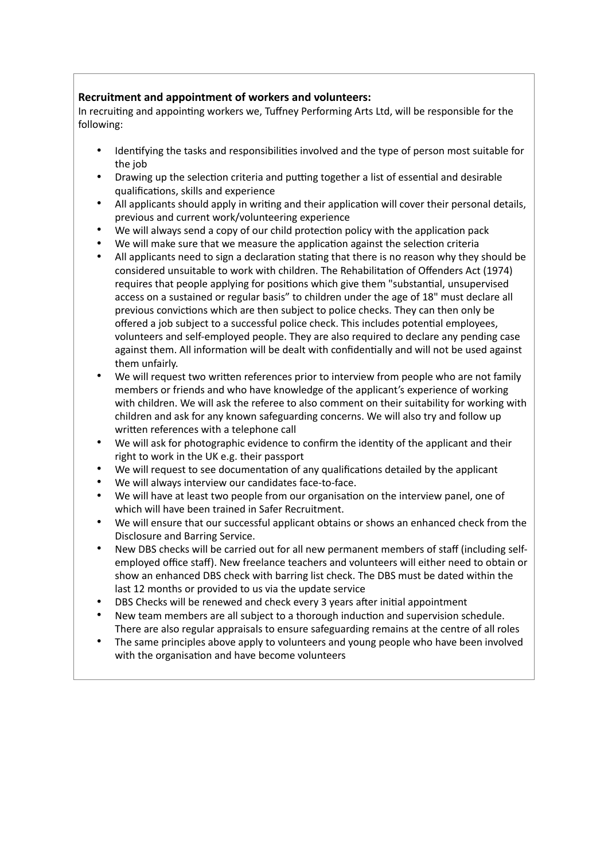## **Recruitment and appointment of workers and volunteers:**

In recruiting and appointing workers we, Tuffney Performing Arts Ltd, will be responsible for the following:

- Identifying the tasks and responsibilities involved and the type of person most suitable for the job
- Drawing up the selection criteria and putting together a list of essential and desirable qualifications, skills and experience
- All applicants should apply in writing and their application will cover their personal details, previous and current work/volunteering experience
- We will always send a copy of our child protection policy with the application pack
- We will make sure that we measure the application against the selection criteria
- All applicants need to sign a declaration stating that there is no reason why they should be considered unsuitable to work with children. The Rehabilitation of Offenders Act (1974) requires that people applying for positions which give them "substantial, unsupervised access on a sustained or regular basis" to children under the age of 18" must declare all previous convictions which are then subject to police checks. They can then only be offered a job subject to a successful police check. This includes potential employees, volunteers and self-employed people. They are also required to declare any pending case against them. All information will be dealt with confidentially and will not be used against them unfairly.
- We will request two written references prior to interview from people who are not family members or friends and who have knowledge of the applicant's experience of working with children. We will ask the referee to also comment on their suitability for working with children and ask for any known safeguarding concerns. We will also try and follow up written references with a telephone call
- We will ask for photographic evidence to confirm the identity of the applicant and their right to work in the UK e.g. their passport
- We will request to see documentation of any qualifications detailed by the applicant
- We will always interview our candidates face-to-face.
- We will have at least two people from our organisation on the interview panel, one of which will have been trained in Safer Recruitment.
- We will ensure that our successful applicant obtains or shows an enhanced check from the Disclosure and Barring Service.
- New DBS checks will be carried out for all new permanent members of staff (including selfemployed office staff). New freelance teachers and volunteers will either need to obtain or show an enhanced DBS check with barring list check. The DBS must be dated within the last 12 months or provided to us via the update service
- DBS Checks will be renewed and check every 3 years after initial appointment
- New team members are all subject to a thorough induction and supervision schedule. There are also regular appraisals to ensure safeguarding remains at the centre of all roles
- The same principles above apply to volunteers and young people who have been involved with the organisation and have become volunteers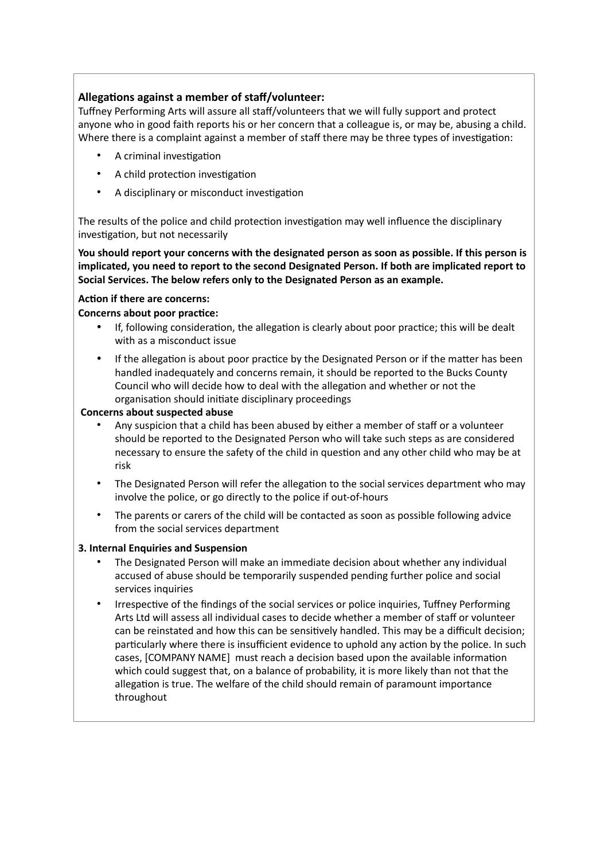## Allegations against a member of staff/volunteer:

Tuffney Performing Arts will assure all staff/volunteers that we will fully support and protect anyone who in good faith reports his or her concern that a colleague is, or may be, abusing a child. Where there is a complaint against a member of staff there may be three types of investigation:

- A criminal investigation
- A child protection investigation
- A disciplinary or misconduct investigation

The results of the police and child protection investigation may well influence the disciplinary investigation, but not necessarily

**You should report your concerns with the designated person as soon as possible. If this person is implicated, you need to report to the second Designated Person. If both are implicated report to Social Services. The below refers only to the Designated Person as an example.** 

#### **Action if there are concerns:**

### **Concerns about poor practice:**

- If, following consideration, the allegation is clearly about poor practice; this will be dealt with as a misconduct issue
- If the allegation is about poor practice by the Designated Person or if the matter has been handled inadequately and concerns remain, it should be reported to the Bucks County Council who will decide how to deal with the allegation and whether or not the organisation should initiate disciplinary proceedings

#### **Concerns about suspected abuse**

- Any suspicion that a child has been abused by either a member of staff or a volunteer should be reported to the Designated Person who will take such steps as are considered necessary to ensure the safety of the child in question and any other child who may be at risk
- The Designated Person will refer the allegation to the social services department who may involve the police, or go directly to the police if out-of-hours
- The parents or carers of the child will be contacted as soon as possible following advice from the social services department

#### **3. Internal Enquiries and Suspension**

- The Designated Person will make an immediate decision about whether any individual accused of abuse should be temporarily suspended pending further police and social services inquiries
- Irrespective of the findings of the social services or police inquiries, Tuffney Performing Arts Ltd will assess all individual cases to decide whether a member of staff or volunteer can be reinstated and how this can be sensitively handled. This may be a difficult decision; particularly where there is insufficient evidence to uphold any action by the police. In such cases, [COMPANY NAME] must reach a decision based upon the available information which could suggest that, on a balance of probability, it is more likely than not that the allegation is true. The welfare of the child should remain of paramount importance throughout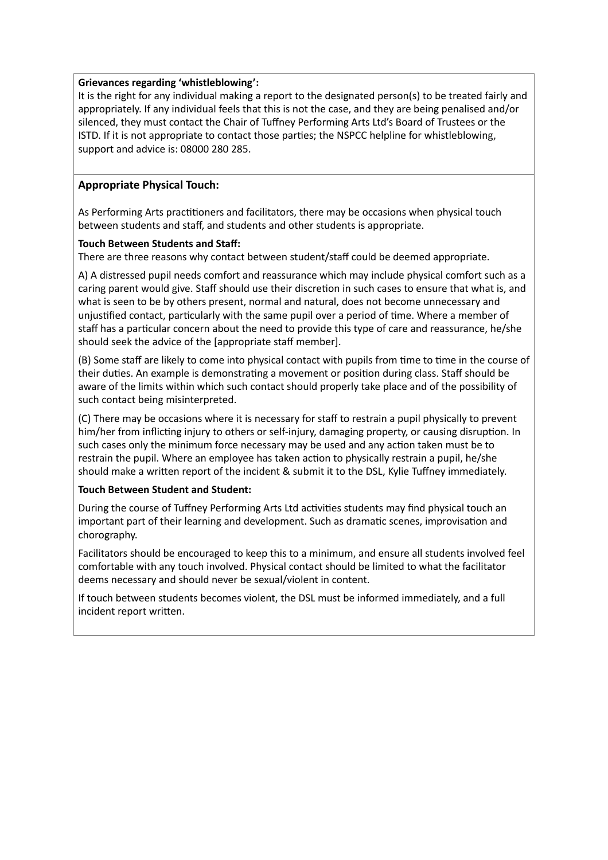#### **Grievances regarding 'whistleblowing':**

It is the right for any individual making a report to the designated person(s) to be treated fairly and appropriately. If any individual feels that this is not the case, and they are being penalised and/or silenced, they must contact the Chair of Tuffney Performing Arts Ltd's Board of Trustees or the ISTD. If it is not appropriate to contact those parties; the NSPCC helpline for whistleblowing, support and advice is: 08000 280 285.

#### **Appropriate Physical Touch:**

As Performing Arts practitioners and facilitators, there may be occasions when physical touch between students and staff, and students and other students is appropriate.

#### **Touch Between Students and Staff:**

There are three reasons why contact between student/staff could be deemed appropriate.

A) A distressed pupil needs comfort and reassurance which may include physical comfort such as a caring parent would give. Staff should use their discretion in such cases to ensure that what is, and what is seen to be by others present, normal and natural, does not become unnecessary and unjustified contact, particularly with the same pupil over a period of time. Where a member of staff has a particular concern about the need to provide this type of care and reassurance, he/she should seek the advice of the [appropriate staff member].

(B) Some staff are likely to come into physical contact with pupils from time to time in the course of their duties. An example is demonstrating a movement or position during class. Staff should be aware of the limits within which such contact should properly take place and of the possibility of such contact being misinterpreted.

(C) There may be occasions where it is necessary for staff to restrain a pupil physically to prevent him/her from inflicting injury to others or self-injury, damaging property, or causing disruption. In such cases only the minimum force necessary may be used and any action taken must be to restrain the pupil. Where an employee has taken action to physically restrain a pupil, he/she should make a written report of the incident & submit it to the DSL, Kylie Tuffney immediately.

#### **Touch Between Student and Student:**

During the course of Tuffney Performing Arts Ltd activities students may find physical touch an important part of their learning and development. Such as dramatic scenes, improvisation and chorography.

Facilitators should be encouraged to keep this to a minimum, and ensure all students involved feel comfortable with any touch involved. Physical contact should be limited to what the facilitator deems necessary and should never be sexual/violent in content.

If touch between students becomes violent, the DSL must be informed immediately, and a full incident report written.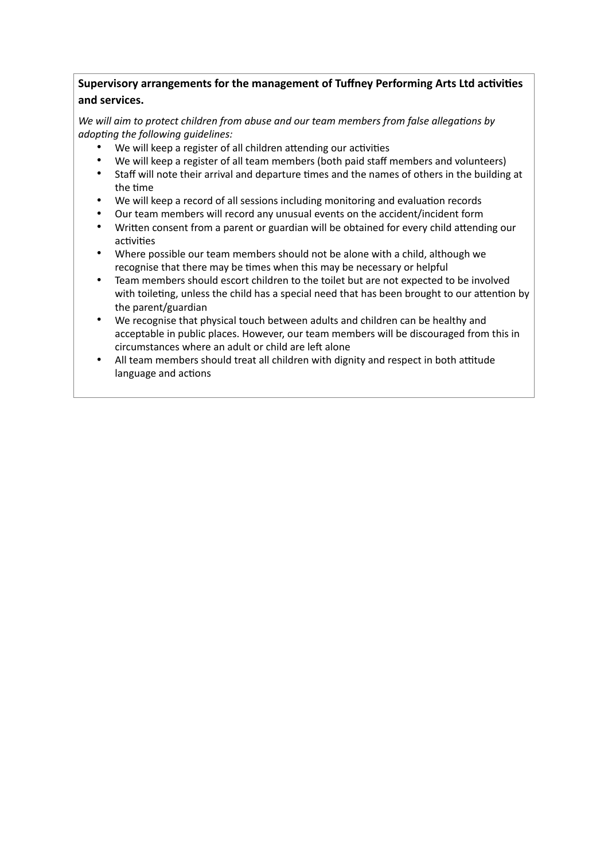## **Supervisory arrangements for the management of Tuffney Performing Arts Ltd activities and services.**

We will aim to protect children from abuse and our team members from false allegations by *adop\*ng the following guidelines:* 

- We will keep a register of all children attending our activities
- We will keep a register of all team members (both paid staff members and volunteers)
- Staff will note their arrival and departure times and the names of others in the building at the time
- We will keep a record of all sessions including monitoring and evaluation records
- Our team members will record any unusual events on the accident/incident form
- Written consent from a parent or guardian will be obtained for every child attending our activities
- Where possible our team members should not be alone with a child, although we recognise that there may be times when this may be necessary or helpful
- Team members should escort children to the toilet but are not expected to be involved with toileting, unless the child has a special need that has been brought to our attention by the parent/guardian
- We recognise that physical touch between adults and children can be healthy and acceptable in public places. However, our team members will be discouraged from this in circumstances where an adult or child are left alone
- All team members should treat all children with dignity and respect in both attitude language and actions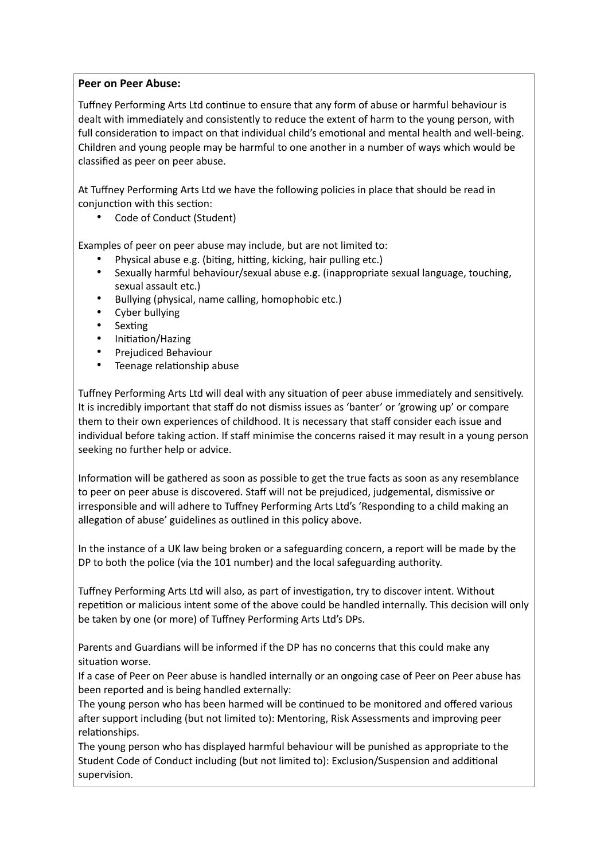## **Peer on Peer Abuse:**

Tuffney Performing Arts Ltd continue to ensure that any form of abuse or harmful behaviour is dealt with immediately and consistently to reduce the extent of harm to the young person, with full consideration to impact on that individual child's emotional and mental health and well-being. Children and young people may be harmful to one another in a number of ways which would be classified as peer on peer abuse.

At Tuffney Performing Arts Ltd we have the following policies in place that should be read in conjunction with this section:

• Code of Conduct (Student)

Examples of peer on peer abuse may include, but are not limited to:

- Physical abuse e.g. (biting, hitting, kicking, hair pulling etc.)
- Sexually harmful behaviour/sexual abuse e.g. (inappropriate sexual language, touching, sexual assault etc.)
- Bullying (physical, name calling, homophobic etc.)
- Cyber bullying
- Sexting
- Initiation/Hazing
- Prejudiced Behaviour
- Teenage relationship abuse

Tuffney Performing Arts Ltd will deal with any situation of peer abuse immediately and sensitively. It is incredibly important that staff do not dismiss issues as 'banter' or 'growing up' or compare them to their own experiences of childhood. It is necessary that staff consider each issue and individual before taking action. If staff minimise the concerns raised it may result in a young person seeking no further help or advice.

Information will be gathered as soon as possible to get the true facts as soon as any resemblance to peer on peer abuse is discovered. Staff will not be prejudiced, judgemental, dismissive or irresponsible and will adhere to Tuffney Performing Arts Ltd's 'Responding to a child making an allegation of abuse' guidelines as outlined in this policy above.

In the instance of a UK law being broken or a safeguarding concern, a report will be made by the DP to both the police (via the 101 number) and the local safeguarding authority.

Tuffney Performing Arts Ltd will also, as part of investigation, try to discover intent. Without repetition or malicious intent some of the above could be handled internally. This decision will only be taken by one (or more) of Tuffney Performing Arts Ltd's DPs.

Parents and Guardians will be informed if the DP has no concerns that this could make any situation worse.

If a case of Peer on Peer abuse is handled internally or an ongoing case of Peer on Peer abuse has been reported and is being handled externally:

The young person who has been harmed will be continued to be monitored and offered various after support including (but not limited to): Mentoring, Risk Assessments and improving peer relationships.

The young person who has displayed harmful behaviour will be punished as appropriate to the Student Code of Conduct including (but not limited to): Exclusion/Suspension and additional supervision.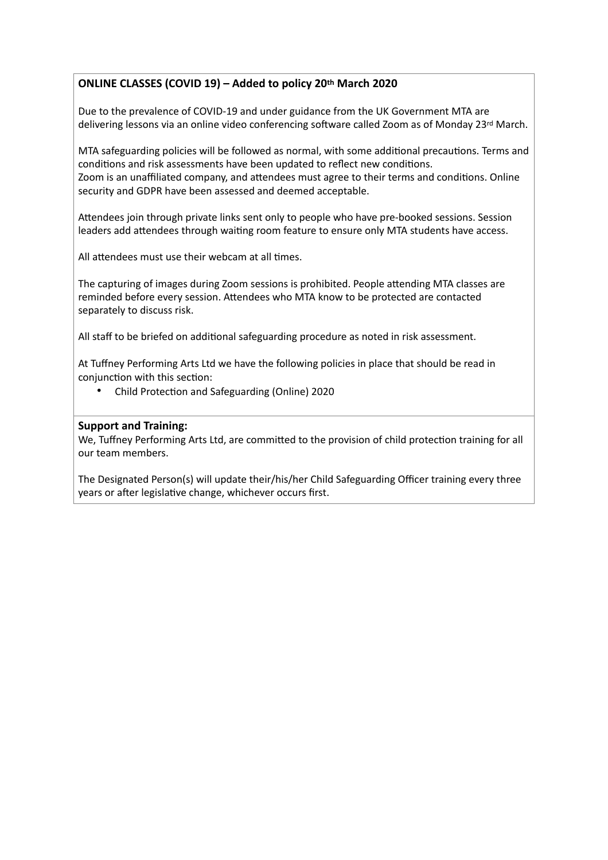## **ONLINE CLASSES (COVID 19) – Added to policy 20th March 2020**

Due to the prevalence of COVID-19 and under guidance from the UK Government MTA are delivering lessons via an online video conferencing software called Zoom as of Monday 23rd March.

MTA safeguarding policies will be followed as normal, with some additional precautions. Terms and conditions and risk assessments have been updated to reflect new conditions. Zoom is an unaffiliated company, and attendees must agree to their terms and conditions. Online security and GDPR have been assessed and deemed acceptable.

Attendees join through private links sent only to people who have pre-booked sessions. Session leaders add attendees through waiting room feature to ensure only MTA students have access.

All attendees must use their webcam at all times.

The capturing of images during Zoom sessions is prohibited. People attending MTA classes are reminded before every session. Attendees who MTA know to be protected are contacted separately to discuss risk.

All staff to be briefed on additional safeguarding procedure as noted in risk assessment.

At Tuffney Performing Arts Ltd we have the following policies in place that should be read in conjunction with this section:

• Child Protection and Safeguarding (Online) 2020

## **Support and Training:**

We, Tuffney Performing Arts Ltd, are committed to the provision of child protection training for all our team members.

The Designated Person(s) will update their/his/her Child Safeguarding Officer training every three years or after legislative change, whichever occurs first.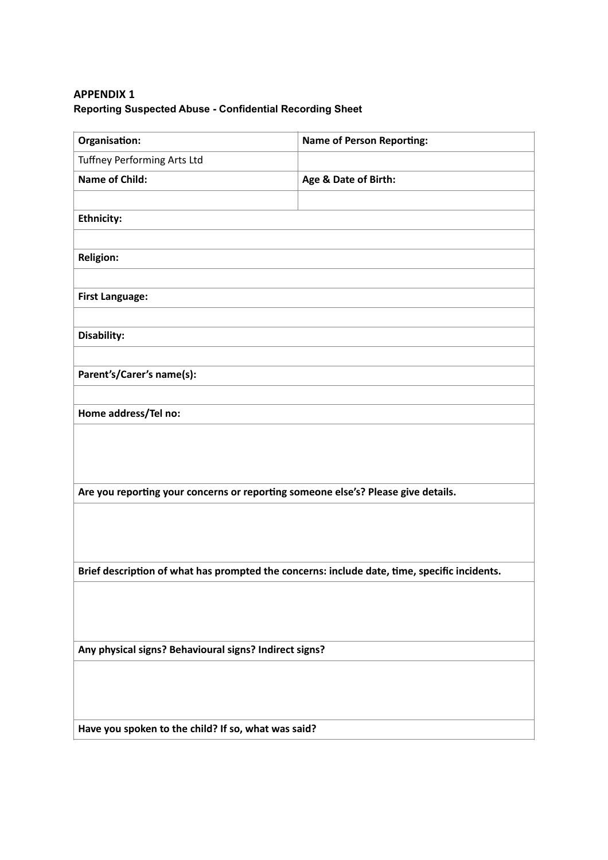## **APPENDIX 1 Reporting Suspected Abuse - Confidential Recording Sheet**

| Organisation:                                                                                | <b>Name of Person Reporting:</b> |  |
|----------------------------------------------------------------------------------------------|----------------------------------|--|
| Tuffney Performing Arts Ltd                                                                  |                                  |  |
| <b>Name of Child:</b>                                                                        | Age & Date of Birth:             |  |
|                                                                                              |                                  |  |
| <b>Ethnicity:</b>                                                                            |                                  |  |
|                                                                                              |                                  |  |
| <b>Religion:</b>                                                                             |                                  |  |
|                                                                                              |                                  |  |
| <b>First Language:</b>                                                                       |                                  |  |
|                                                                                              |                                  |  |
| Disability:                                                                                  |                                  |  |
|                                                                                              |                                  |  |
| Parent's/Carer's name(s):                                                                    |                                  |  |
|                                                                                              |                                  |  |
| Home address/Tel no:                                                                         |                                  |  |
|                                                                                              |                                  |  |
|                                                                                              |                                  |  |
|                                                                                              |                                  |  |
| Are you reporting your concerns or reporting someone else's? Please give details.            |                                  |  |
|                                                                                              |                                  |  |
|                                                                                              |                                  |  |
|                                                                                              |                                  |  |
| Brief description of what has prompted the concerns: include date, time, specific incidents. |                                  |  |
|                                                                                              |                                  |  |
|                                                                                              |                                  |  |
|                                                                                              |                                  |  |
| Any physical signs? Behavioural signs? Indirect signs?                                       |                                  |  |
|                                                                                              |                                  |  |
|                                                                                              |                                  |  |
|                                                                                              |                                  |  |
| Have you spoken to the child? If so, what was said?                                          |                                  |  |
|                                                                                              |                                  |  |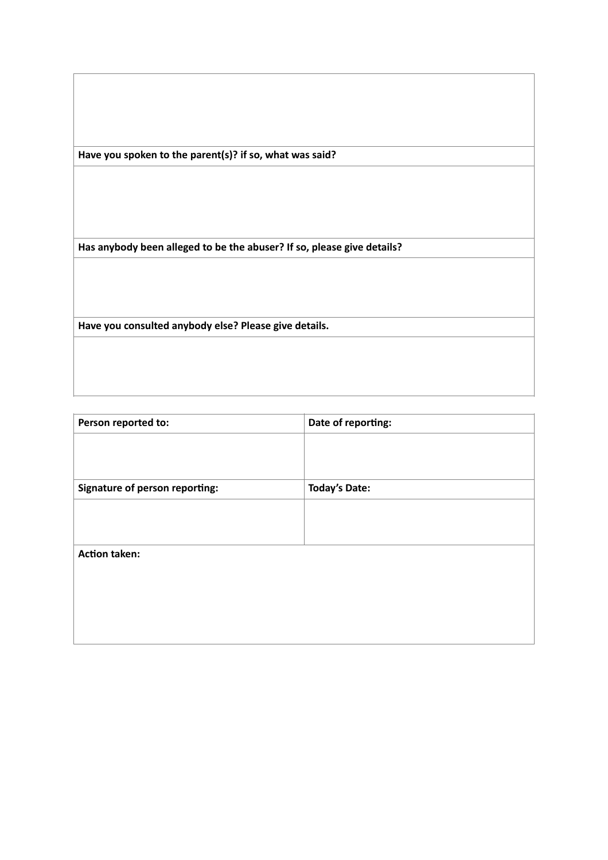**Have you spoken to the parent(s)? if so, what was said?**

**Has anybody been alleged to be the abuser? If so, please give details?**

**Have you consulted anybody else? Please give details.**

| Person reported to:            | Date of reporting:   |
|--------------------------------|----------------------|
|                                |                      |
|                                |                      |
| Signature of person reporting: | <b>Today's Date:</b> |
|                                |                      |
|                                |                      |
| <b>Action taken:</b>           |                      |
|                                |                      |
|                                |                      |
|                                |                      |
|                                |                      |